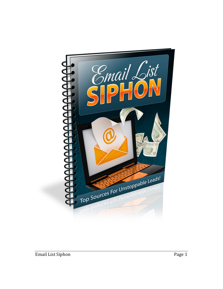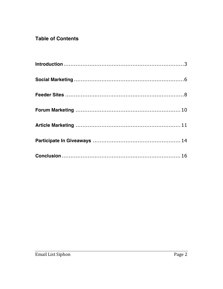# **Table of Contents**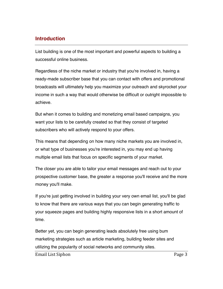### **Introduction**

List building is one of the most important and powerful aspects to building a successful online business.

Regardless of the niche market or industry that you're involved in, having a ready-made subscriber base that you can contact with offers and promotional broadcasts will ultimately help you maximize your outreach and skyrocket your income in such a way that would otherwise be difficult or outright impossible to achieve.

But when it comes to building and monetizing email based campaigns, you want your lists to be carefully created so that they consist of targeted subscribers who will actively respond to your offers.

This means that depending on how many niche markets you are involved in, or what type of businesses you're interested in, you may end up having multiple email lists that focus on specific segments of your market.

The closer you are able to tailor your email messages and reach out to your prospective customer base, the greater a response you'll receive and the more money you'll make.

If you're just getting involved in building your very own email list, you'll be glad to know that there are various ways that you can begin generating traffic to your squeeze pages and building highly responsive lists in a short amount of time.

Better yet, you can begin generating leads absolutely free using bum marketing strategies such as article marketing, building feeder sites and utilizing the popularity of social networks and community sites.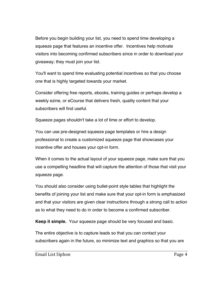Before you begin building your list, you need to spend time developing a squeeze page that features an incentive offer. Incentives help motivate visitors into becoming confirmed subscribers since in order to download your giveaway; they must join your list.

You'll want to spend time evaluating potential incentives so that you choose one that is highly targeted towards your market.

Consider offering free reports, ebooks, training guides or perhaps develop a weekly ezine, or eCourse that delivers fresh, quality content that your subscribers will find useful.

Squeeze pages shouldn't take a lot of time or effort to develop.

You can use pre-designed squeeze page templates or hire a design professional to create a customized squeeze page that showcases your incentive offer and houses your opt-in form.

When it comes to the actual layout of your squeeze page, make sure that you use a compelling headline that will capture the attention of those that visit your squeeze page.

You should also consider using bullet-point style tables that highlight the benefits of joining your list and make sure that your opt-in form is emphasized and that your visitors are given clear instructions through a strong call to action as to what they need to do in order to become a confirmed subscriber.

**Keep it simple.** Your squeeze page should be very focused and basic.

The entire objective is to capture leads so that you can contact your subscribers again in the future, so minimize text and graphics so that you are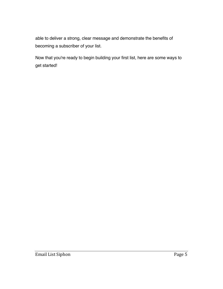able to deliver a strong, clear message and demonstrate the benefits of becoming a subscriber of your list.

Now that you're ready to begin building your first list, here are some ways to get started!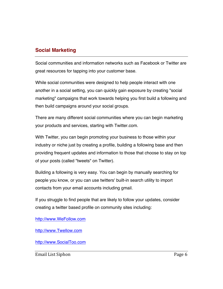### **Social Marketing**

Social communities and information networks such as Facebook or Twitter are great resources for tapping into your customer base.

While social communities were designed to help people interact with one another in a social setting, you can quickly gain exposure by creating "social marketing" campaigns that work towards helping you first build a following and then build campaigns around your social groups.

There are many different social communities where you can begin marketing your products and services, starting with Twitter.com.

With Twitter, you can begin promoting your business to those within your industry or niche just by creating a profile, building a following base and then providing frequent updates and information to those that choose to stay on top of your posts (called "tweets" on Twitter).

Building a following is very easy. You can begin by manually searching for people you know, or you can use twitters' built-in search utility to import contacts from your email accounts including gmail.

If you struggle to find people that are likely to follow your updates, consider creating a twitter based profile on community sites including:

http://www.WeFollow.com

http://www.Twellow.com

http://www.SocialToo.com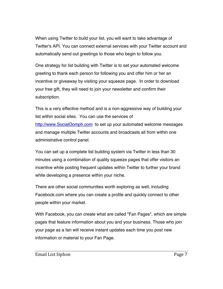When using Twitter to build your list, you will want to take advantage of Twitter's API. You can connect external services with your Twitter account and automatically send out greetings to those who begin to follow you.

One strategy for list building with Twitter is to set your automated welcome greeting to thank each person for following you and offer him or her an incentive or giveaway by visiting your squeeze page. In order to download your free gift, they will need to join your newsletter and confirm their subscription.

This is a very effective method and is a non-aggressive way of building your list within social sites. You can use the services of http://www.SocialOomph.com to set up your automated welcome messages and manage multiple Twitter accounts and broadcasts all from within one administrative control panel.

You can set up a complete list building system via Twitter in less than 30 minutes using a combination of quality squeeze pages that offer visitors an incentive while posting frequent updates within Twitter to further your brand while developing a presence within your niche.

There are other social communities worth exploring as well, including Facebook.com where you can create a profile and quickly connect to other people within your market.

With Facebook, you can create what are called "Fan Pages", which are simple pages that feature information about you and your business. Those who join your page as a fan will receive instant updates each time you post new information or material to your Fan Page.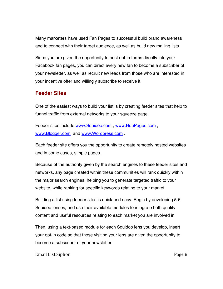Many marketers have used Fan Pages to successful build brand awareness and to connect with their target audience, as well as build new mailing lists.

Since you are given the opportunity to post opt-in forms directly into your Facebook fan pages, you can direct every new fan to become a subscriber of your newsletter, as well as recruit new leads from those who are interested in your incentive offer and willingly subscribe to receive it.

## **Feeder Sites**

One of the easiest ways to build your list is by creating feeder sites that help to funnel traffic from external networks to your squeeze page.

Feeder sites include www.Squidoo.com , www.HubPages.com , www.Blogger.com and www.Wordpress.com .

Each feeder site offers you the opportunity to create remotely hosted websites and in some cases, simple pages.

Because of the authority given by the search engines to these feeder sites and networks, any page created within these communities will rank quickly within the major search engines, helping you to generate targeted traffic to your website, while ranking for specific keywords relating to your market.

Building a list using feeder sites is quick and easy. Begin by developing 5-6 Squidoo lenses, and use their available modules to integrate both quality content and useful resources relating to each market you are involved in.

Then, using a text-based module for each Squidoo lens you develop, insert your opt-in code so that those visiting your lens are given the opportunity to become a subscriber of your newsletter.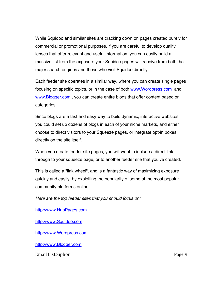While Squidoo and similar sites are cracking down on pages created purely for commercial or promotional purposes, if you are careful to develop quality lenses that offer relevant and useful information, you can easily build a massive list from the exposure your Squidoo pages will receive from both the major search engines and those who visit Squidoo directly.

Each feeder site operates in a similar way, where you can create single pages focusing on specific topics, or in the case of both www.Wordpress.com and www.Blogger.com , you can create entire blogs that offer content based on categories.

Since blogs are a fast and easy way to build dynamic, interactive websites, you could set up dozens of blogs in each of your niche markets, and either choose to direct visitors to your Squeeze pages, or integrate opt-in boxes directly on the site itself.

When you create feeder site pages, you will want to include a direct link through to your squeeze page, or to another feeder site that you've created.

This is called a "link wheel", and is a fantastic way of maximizing exposure quickly and easily, by exploiting the popularity of some of the most popular community platforms online.

*Here are the top feeder sites that you should focus on:*

http://www.HubPages.com

http://www.Squidoo.com

http://www.Wordpress.com

http://www.Blogger.com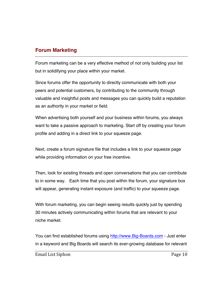### **Forum Marketing**

Forum marketing can be a very effective method of not only building your list but in solidifying your place within your market.

Since forums offer the opportunity to directly communicate with both your peers and potential customers, by contributing to the community through valuable and insightful posts and messages you can quickly build a reputation as an authority in your market or field.

When advertising both yourself and your business within forums, you always want to take a passive approach to marketing. Start off by creating your forum profile and adding in a direct link to your squeeze page.

Next, create a forum signature file that includes a link to your squeeze page while providing information on your free incentive.

Then, look for existing threads and open conversations that you can contribute to in some way. Each time that you post within the forum, your signature box will appear, generating instant exposure (and traffic) to your squeeze page.

With forum marketing, you can begin seeing results quickly just by spending 30 minutes actively communicating within forums that are relevant to your niche market.

You can find established forums using http://www.Big-Boards.com - Just enter in a keyword and Big Boards will search its ever-growing database for relevant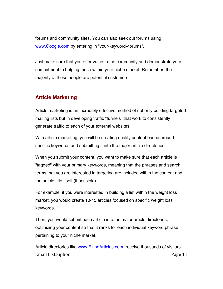forums and community sites. You can also seek out forums using www.Google.com by entering in "your-keyword+forums".

Just make sure that you offer value to the community and demonstrate your commitment to helping those within your niche market. Remember, the majority of these people are potential customers!

#### **Article Marketing**

Article marketing is an incredibly effective method of not only building targeted mailing lists but in developing traffic "funnels" that work to consistently generate traffic to each of your external websites.

With article marketing, you will be creating quality content based around specific keywords and submitting it into the major article directories.

When you submit your content, you want to make sure that each article is "tagged" with your primary keywords, meaning that the phrases and search terms that you are interested in targeting are included within the content and the article title itself (if possible).

For example, if you were interested in building a list within the weight loss market, you would create 10-15 articles focused on specific weight loss keywords.

Then, you would submit each article into the major article directories, optimizing your content so that it ranks for each individual keyword phrase pertaining to your niche market.

Email List Siphon Page 11 Article directories like www.EzineArticles.com receive thousands of visitors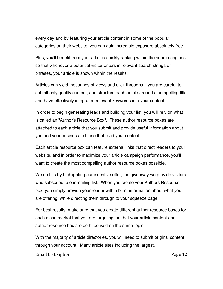every day and by featuring your article content in some of the popular categories on their website, you can gain incredible exposure absolutely free.

Plus, you'll benefit from your articles quickly ranking within the search engines so that whenever a potential visitor enters in relevant search strings or phrases, your article is shown within the results.

Articles can yield thousands of views and click-throughs if you are careful to submit only quality content, and structure each article around a compelling title and have effectively integrated relevant keywords into your content.

In order to begin generating leads and building your list, you will rely on what is called an "Author's Resource Box". These author resource boxes are attached to each article that you submit and provide useful information about you and your business to those that read your content.

Each article resource box can feature external links that direct readers to your website, and in order to maximize your article campaign performance, you'll want to create the most compelling author resource boxes possible.

We do this by highlighting our incentive offer, the giveaway we provide visitors who subscribe to our mailing list. When you create your Authors Resource box, you simply provide your reader with a bit of information about what you are offering, while directing them through to your squeeze page.

For best results, make sure that you create different author resource boxes for each niche market that you are targeting, so that your article content and author resource box are both focused on the same topic.

With the majority of article directories, you will need to submit original content through your account. Many article sites including the largest,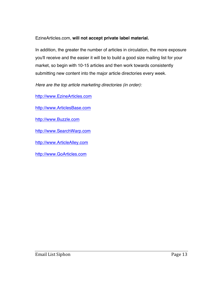#### EzineArticles.com, **will not accept private label material.**

In addition, the greater the number of articles in circulation, the more exposure you'll receive and the easier it will be to build a good size mailing list for your market, so begin with 10-15 articles and then work towards consistently submitting new content into the major article directories every week.

*Here are the top article marketing directories (in order):*

http://www.EzineArticles.com

http://www.ArticlesBase.com

http://www.Buzzle.com

http://www.SearchWarp.com

http://www.ArticleAlley.com

http://www.GoArticles.com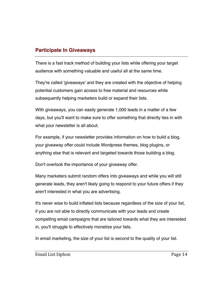### **Participate In Giveaways**

There is a fast track method of building your lists while offering your target audience with something valuable and useful all at the same time.

They're called 'giveaways' and they are created with the objective of helping potential customers gain access to free material and resources while subsequently helping marketers build or expand their lists.

With giveaways, you can easily generate 1,000 leads in a matter of a few days, but you'll want to make sure to offer something that directly ties in with what your newsletter is all about.

For example, if your newsletter provides information on how to build a blog, your giveaway offer could include Wordpress themes, blog plugins, or anything else that is relevant and targeted towards those building a blog.

Don't overlook the importance of your giveaway offer.

Many marketers submit random offers into giveaways and while you will still generate leads, they aren't likely going to respond to your future offers if they aren't interested in what you are advertising.

It's never wise to build inflated lists because regardless of the size of your list, if you are not able to directly communicate with your leads and create compelling email campaigns that are tailored towards what they are interested in, you'll struggle to effectively monetize your lists.

In email marketing, the size of your list is second to the quality of your list.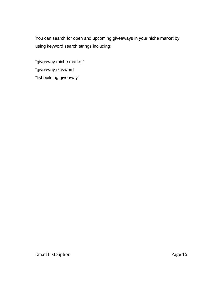You can search for open and upcoming giveaways in your niche market by using keyword search strings including:

"giveaway+niche market" "giveaway+keyword" "list building giveaway"